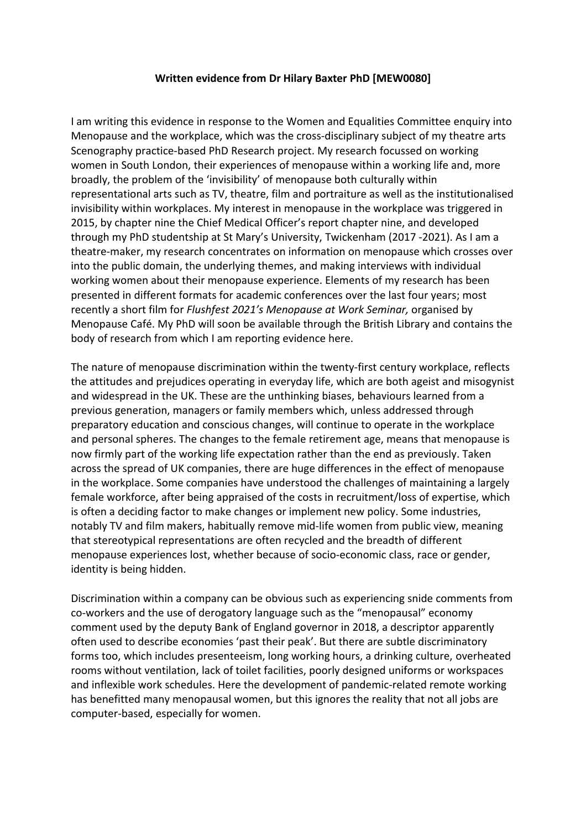## **Written evidence from Dr Hilary Baxter PhD [MEW0080]**

I am writing this evidence in response to the Women and Equalities Committee enquiry into Menopause and the workplace, which was the cross-disciplinary subject of my theatre arts Scenography practice-based PhD Research project. My research focussed on working women in South London, their experiences of menopause within a working life and, more broadly, the problem of the 'invisibility' of menopause both culturally within representational arts such as TV, theatre, film and portraiture as well as the institutionalised invisibility within workplaces. My interest in menopause in the workplace was triggered in 2015, by chapter nine the Chief Medical Officer's report chapter nine, and developed through my PhD studentship at St Mary's University, Twickenham (2017 -2021). As I am a theatre-maker, my research concentrates on information on menopause which crosses over into the public domain, the underlying themes, and making interviews with individual working women about their menopause experience. Elements of my research has been presented in different formats for academic conferences over the last four years; most recently a short film for *Flushfest 2021's Menopause at Work Seminar,* organised by Menopause Café. My PhD will soon be available through the British Library and contains the body of research from which I am reporting evidence here.

The nature of menopause discrimination within the twenty-first century workplace, reflects the attitudes and prejudices operating in everyday life, which are both ageist and misogynist and widespread in the UK. These are the unthinking biases, behaviours learned from a previous generation, managers or family members which, unless addressed through preparatory education and conscious changes, will continue to operate in the workplace and personal spheres. The changes to the female retirement age, means that menopause is now firmly part of the working life expectation rather than the end as previously. Taken across the spread of UK companies, there are huge differences in the effect of menopause in the workplace. Some companies have understood the challenges of maintaining a largely female workforce, after being appraised of the costs in recruitment/loss of expertise, which is often a deciding factor to make changes or implement new policy. Some industries, notably TV and film makers, habitually remove mid-life women from public view, meaning that stereotypical representations are often recycled and the breadth of different menopause experiences lost, whether because of socio-economic class, race or gender, identity is being hidden.

Discrimination within a company can be obvious such as experiencing snide comments from co-workers and the use of derogatory language such as the "menopausal" economy comment used by the deputy Bank of England governor in 2018, a descriptor apparently often used to describe economies 'past their peak'. But there are subtle discriminatory forms too, which includes presenteeism, long working hours, a drinking culture, overheated rooms without ventilation, lack of toilet facilities, poorly designed uniforms or workspaces and inflexible work schedules. Here the development of pandemic-related remote working has benefitted many menopausal women, but this ignores the reality that not all jobs are computer-based, especially for women.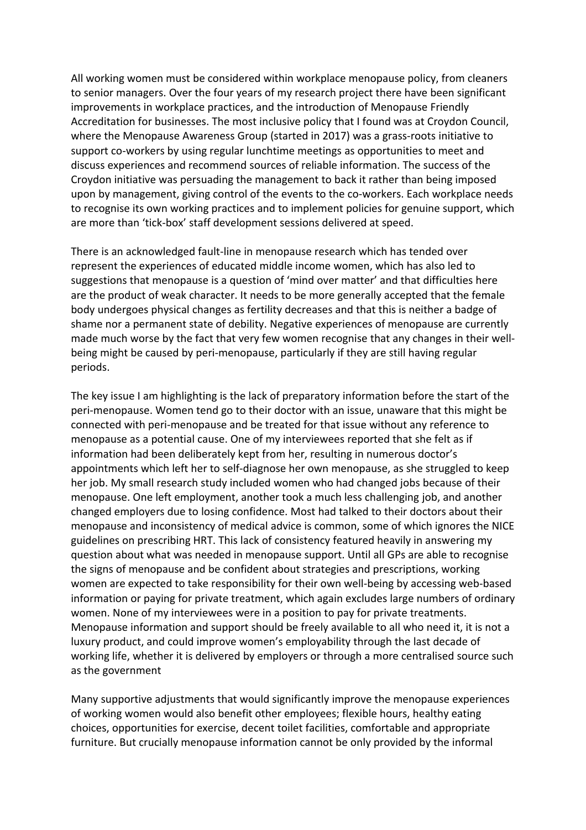All working women must be considered within workplace menopause policy, from cleaners to senior managers. Over the four years of my research project there have been significant improvements in workplace practices, and the introduction of Menopause Friendly Accreditation for businesses. The most inclusive policy that I found was at Croydon Council, where the Menopause Awareness Group (started in 2017) was a grass-roots initiative to support co-workers by using regular lunchtime meetings as opportunities to meet and discuss experiences and recommend sources of reliable information. The success of the Croydon initiative was persuading the management to back it rather than being imposed upon by management, giving control of the events to the co-workers. Each workplace needs to recognise its own working practices and to implement policies for genuine support, which are more than 'tick-box' staff development sessions delivered at speed.

There is an acknowledged fault-line in menopause research which has tended over represent the experiences of educated middle income women, which has also led to suggestions that menopause is a question of 'mind over matter' and that difficulties here are the product of weak character. It needs to be more generally accepted that the female body undergoes physical changes as fertility decreases and that this is neither a badge of shame nor a permanent state of debility. Negative experiences of menopause are currently made much worse by the fact that very few women recognise that any changes in their wellbeing might be caused by peri-menopause, particularly if they are still having regular periods.

The key issue I am highlighting is the lack of preparatory information before the start of the peri-menopause. Women tend go to their doctor with an issue, unaware that this might be connected with peri-menopause and be treated for that issue without any reference to menopause as a potential cause. One of my interviewees reported that she felt as if information had been deliberately kept from her, resulting in numerous doctor's appointments which left her to self-diagnose her own menopause, as she struggled to keep her job. My small research study included women who had changed jobs because of their menopause. One left employment, another took a much less challenging job, and another changed employers due to losing confidence. Most had talked to their doctors about their menopause and inconsistency of medical advice is common, some of which ignores the NICE guidelines on prescribing HRT. This lack of consistency featured heavily in answering my question about what was needed in menopause support. Until all GPs are able to recognise the signs of menopause and be confident about strategies and prescriptions, working women are expected to take responsibility for their own well-being by accessing web-based information or paying for private treatment, which again excludes large numbers of ordinary women. None of my interviewees were in a position to pay for private treatments. Menopause information and support should be freely available to all who need it, it is not a luxury product, and could improve women's employability through the last decade of working life, whether it is delivered by employers or through a more centralised source such as the government

Many supportive adjustments that would significantly improve the menopause experiences of working women would also benefit other employees; flexible hours, healthy eating choices, opportunities for exercise, decent toilet facilities, comfortable and appropriate furniture. But crucially menopause information cannot be only provided by the informal